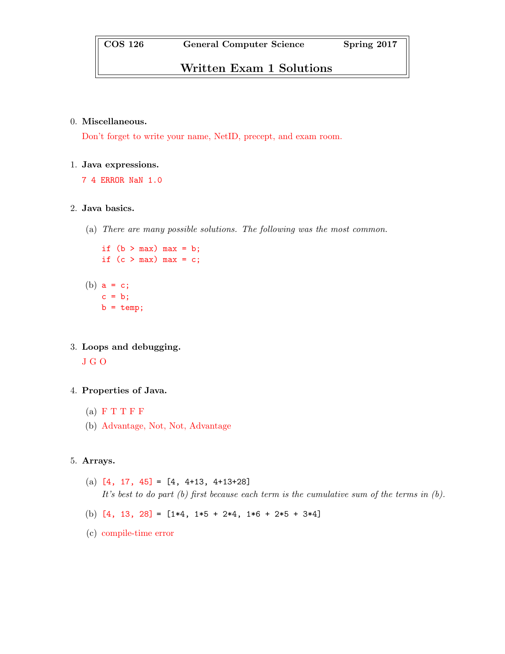# Written Exam 1 Solutions

#### 0. Miscellaneous.

Don't forget to write your name, NetID, precept, and exam room.

#### 1. Java expressions.

7 4 ERROR NaN 1.0

### 2. Java basics.

(a) There are many possible solutions. The following was the most common.

```
if (b > max) max = b;
if (c > max) max = c;
```
- (b)  $a = c$ ;  $c = b;$  $b = temp;$
- 3. Loops and debugging.

J G O

## 4. Properties of Java.

- $(a)$  F T T F F
- (b) Advantage, Not, Not, Advantage

## 5. Arrays.

- (a)  $[4, 17, 45] = [4, 4+13, 4+13+28]$ It's best to do part (b) first because each term is the cumulative sum of the terms in (b).
- (b)  $[4, 13, 28] = [1*4, 1*5 + 2*4, 1*6 + 2*5 + 3*4]$
- (c) compile-time error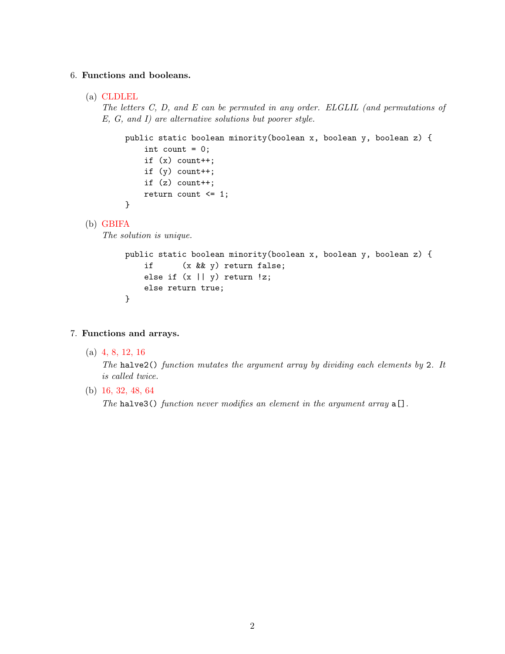## 6. Functions and booleans.

(a) CLDLEL

The letters C, D, and E can be permuted in any order. ELGLIL (and permutations of E, G, and I) are alternative solutions but poorer style.

```
public static boolean minority(boolean x, boolean y, boolean z) {
    int count = 0;
    if (x) count++;
    if (y) count++;
    if (z) count++;
    return count <= 1;
}
```
(b) GBIFA

The solution is unique.

```
public static boolean minority(boolean x, boolean y, boolean z) {
    if (x && y) return false;
    else if (x || y) return !z;
    else return true;
}
```
- 7. Functions and arrays.
	- (a) 4, 8, 12, 16

The halve  $2()$  function mutates the argument array by dividing each elements by 2. It is called twice.

(b) 16, 32, 48, 64

The halve3() function never modifies an element in the argument array  $a[]$ .